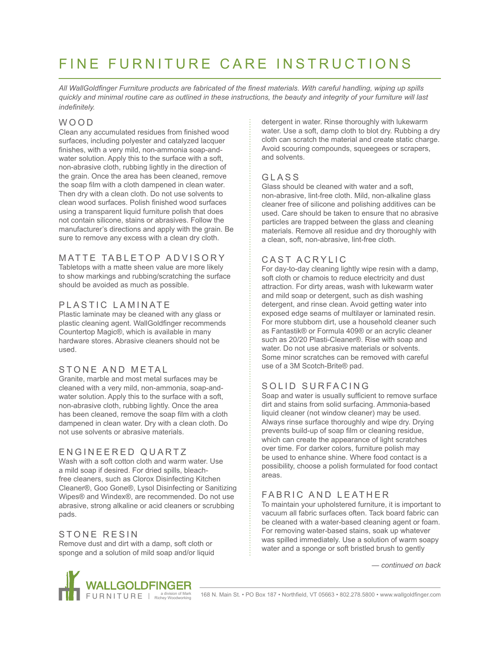# FINE FURNITURE CARE INSTRUCTIONS

*All WallGoldfinger Furniture products are fabricated of the finest materials. With careful handling, wiping up spills quickly and minimal routine care as outlined in these instructions, the beauty and integrity of your furniture will last indefinitely.*

#### WOOD

Clean any accumulated residues from finished wood surfaces, including polyester and catalyzed lacquer finishes, with a very mild, non-ammonia soap-andwater solution. Apply this to the surface with a soft, non-abrasive cloth, rubbing lightly in the direction of the grain. Once the area has been cleaned, remove the soap film with a cloth dampened in clean water. Then dry with a clean cloth. Do not use solvents to clean wood surfaces. Polish finished wood surfaces using a transparent liquid furniture polish that does not contain silicone, stains or abrasives. Follow the manufacturer's directions and apply with the grain. Be sure to remove any excess with a clean dry cloth.

## MATTE TABLETOP ADVISORY

Tabletops with a matte sheen value are more likely to show markings and rubbing/scratching the surface should be avoided as much as possible.

## PLASTIC LAMINATE

Plastic laminate may be cleaned with any glass or plastic cleaning agent. WallGoldfinger recommends Countertop Magic®, which is available in many hardware stores. Abrasive cleaners should not be used.

## STONE AND METAL

Granite, marble and most metal surfaces may be cleaned with a very mild, non-ammonia, soap-andwater solution. Apply this to the surface with a soft, non-abrasive cloth, rubbing lightly. Once the area has been cleaned, remove the soap film with a cloth dampened in clean water. Dry with a clean cloth. Do not use solvents or abrasive materials.

#### ENGINEERED QUARTZ

Wash with a soft cotton cloth and warm water. Use a mild soap if desired. For dried spills, bleachfree cleaners, such as Clorox Disinfecting Kitchen Cleaner®, Goo Gone®, Lysol Disinfecting or Sanitizing Wipes® and Windex®, are recommended. Do not use abrasive, strong alkaline or acid cleaners or scrubbing pads.

## STONE RESIN

Remove dust and dirt with a damp, soft cloth or sponge and a solution of mild soap and/or liquid detergent in water. Rinse thoroughly with lukewarm water. Use a soft, damp cloth to blot dry. Rubbing a dry cloth can scratch the material and create static charge. Avoid scouring compounds, squeegees or scrapers, and solvents.

## GLASS

Glass should be cleaned with water and a soft, non-abrasive, lint-free cloth. Mild, non-alkaline glass cleaner free of silicone and polishing additives can be used. Care should be taken to ensure that no abrasive particles are trapped between the glass and cleaning materials. Remove all residue and dry thoroughly with a clean, soft, non-abrasive, lint-free cloth.

#### CAST ACRYLIC

For day-to-day cleaning lightly wipe resin with a damp, soft cloth or chamois to reduce electricity and dust attraction. For dirty areas, wash with lukewarm water and mild soap or detergent, such as dish washing detergent, and rinse clean. Avoid getting water into exposed edge seams of multilayer or laminated resin. For more stubborn dirt, use a household cleaner such as Fantastik® or Formula 409® or an acrylic cleaner such as 20/20 Plasti-Cleaner®. Rise with soap and water. Do not use abrasive materials or solvents. Some minor scratches can be removed with careful use of a 3M Scotch-Brite® pad.

## SOLID SURFACING

Soap and water is usually sufficient to remove surface dirt and stains from solid surfacing. Ammonia-based liquid cleaner (not window cleaner) may be used. Always rinse surface thoroughly and wipe dry. Drying prevents build-up of soap film or cleaning residue, which can create the appearance of light scratches over time. For darker colors, furniture polish may be used to enhance shine. Where food contact is a possibility, choose a polish formulated for food contact areas.

## FABRIC AND LEATHER

To maintain your upholstered furniture, it is important to vacuum all fabric surfaces often. Tack board fabric can be cleaned with a water-based cleaning agent or foam. For removing water-based stains, soak up whatever was spilled immediately. Use a solution of warm soapy water and a sponge or soft bristled brush to gently

*— continued on back*